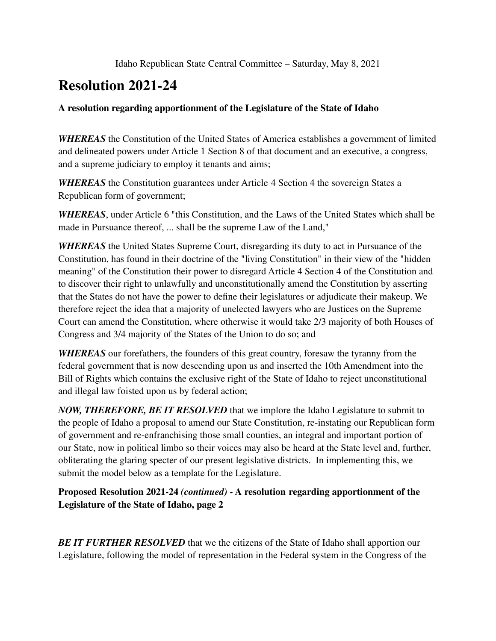## **Resolution 2021-24**

## **A resolution regarding apportionment of the Legislature of the State of Idaho**

*WHEREAS* the Constitution of the United States of America establishes a government of limited and delineated powers under Article 1 Section 8 of that document and an executive, a congress, and a supreme judiciary to employ it tenants and aims;

*WHEREAS* the Constitution guarantees under Article 4 Section 4 the sovereign States a Republican form of government;

*WHEREAS*, under Article 6 "this Constitution, and the Laws of the United States which shall be made in Pursuance thereof, ... shall be the supreme Law of the Land,"

*WHEREAS* the United States Supreme Court, disregarding its duty to act in Pursuance of the Constitution, has found in their doctrine of the "living Constitution" in their view of the "hidden meaning" of the Constitution their power to disregard Article 4 Section 4 of the Constitution and to discover their right to unlawfully and unconstitutionally amend the Constitution by asserting that the States do not have the power to define their legislatures or adjudicate their makeup. We therefore reject the idea that a majority of unelected lawyers who are Justices on the Supreme Court can amend the Constitution, where otherwise it would take 2/3 majority of both Houses of Congress and 3/4 majority of the States of the Union to do so; and

*WHEREAS* our forefathers, the founders of this great country, foresaw the tyranny from the federal government that is now descending upon us and inserted the 10th Amendment into the Bill of Rights which contains the exclusive right of the State of Idaho to reject unconstitutional and illegal law foisted upon us by federal action;

*NOW, THEREFORE, BE IT RESOLVED* that we implore the Idaho Legislature to submit to the people of Idaho a proposal to amend our State Constitution, re-instating our Republican form of government and re-enfranchising those small counties, an integral and important portion of our State, now in political limbo so their voices may also be heard at the State level and, further, obliterating the glaring specter of our present legislative districts. In implementing this, we submit the model below as a template for the Legislature.

**Proposed Resolution 2021-24** *(continued)* **- A resolution regarding apportionment of the Legislature of the State of Idaho, page 2**

*BE IT FURTHER RESOLVED* that we the citizens of the State of Idaho shall apportion our Legislature, following the model of representation in the Federal system in the Congress of the